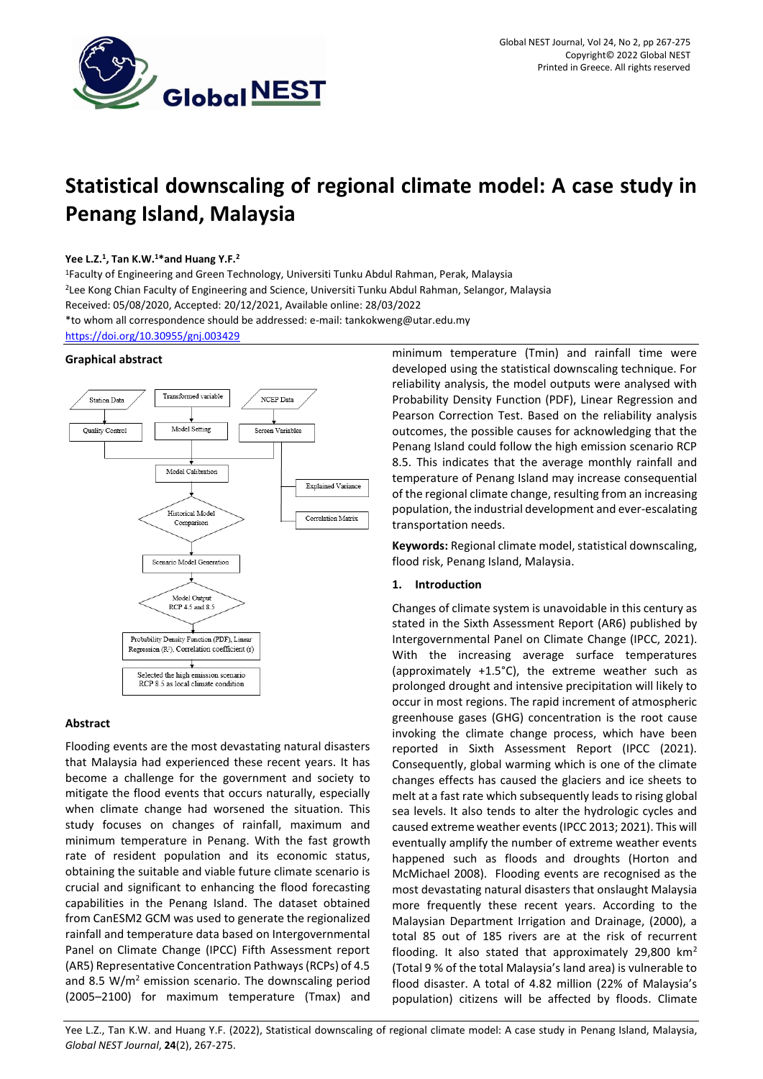

# **Statistical downscaling of regional climate model: A case study in Penang Island, Malaysia**

# **Yee L.Z.<sup>1</sup> , Tan K.W.<sup>1</sup>\*and Huang Y.F.<sup>2</sup>**

<sup>1</sup>Faculty of Engineering and Green Technology, Universiti Tunku Abdul Rahman, Perak, Malaysia <sup>2</sup>Lee Kong Chian Faculty of Engineering and Science, Universiti Tunku Abdul Rahman, Selangor, Malaysia Received: 05/08/2020, Accepted: 20/12/2021, Available online: 28/03/2022 \*to whom all correspondence should be addressed: e-mail: tankokweng@utar.edu.my <https://doi.org/10.30955/gnj.003429>

# **Graphical abstract**



# **Abstract**

Flooding events are the most devastating natural disasters that Malaysia had experienced these recent years. It has become a challenge for the government and society to mitigate the flood events that occurs naturally, especially when climate change had worsened the situation. This study focuses on changes of rainfall, maximum and minimum temperature in Penang. With the fast growth rate of resident population and its economic status, obtaining the suitable and viable future climate scenario is crucial and significant to enhancing the flood forecasting capabilities in the Penang Island. The dataset obtained from CanESM2 GCM was used to generate the regionalized rainfall and temperature data based on Intergovernmental Panel on Climate Change (IPCC) Fifth Assessment report (AR5) Representative Concentration Pathways (RCPs) of 4.5 and 8.5  $W/m^2$  emission scenario. The downscaling period (2005–2100) for maximum temperature (Tmax) and minimum temperature (Tmin) and rainfall time were developed using the statistical downscaling technique. For reliability analysis, the model outputs were analysed with Probability Density Function (PDF), Linear Regression and Pearson Correction Test. Based on the reliability analysis outcomes, the possible causes for acknowledging that the Penang Island could follow the high emission scenario RCP 8.5. This indicates that the average monthly rainfall and temperature of Penang Island may increase consequential of the regional climate change, resulting from an increasing population, the industrial development and ever-escalating transportation needs.

**Keywords:** Regional climate model, statistical downscaling, flood risk, Penang Island, Malaysia.

## **1. Introduction**

Changes of climate system is unavoidable in this century as stated in the Sixth Assessment Report (AR6) published by Intergovernmental Panel on Climate Change (IPCC, 2021). With the increasing average surface temperatures (approximately +1.5°C), the extreme weather such as prolonged drought and intensive precipitation will likely to occur in most regions. The rapid increment of atmospheric greenhouse gases (GHG) concentration is the root cause invoking the climate change process, which have been reported in Sixth Assessment Report (IPCC (2021). Consequently, global warming which is one of the climate changes effects has caused the glaciers and ice sheets to melt at a fast rate which subsequently leads to rising global sea levels. It also tends to alter the hydrologic cycles and caused extreme weather events (IPCC 2013; 2021). This will eventually amplify the number of extreme weather events happened such as floods and droughts (Horton and McMichael 2008). Flooding events are recognised as the most devastating natural disasters that onslaught Malaysia more frequently these recent years. According to the Malaysian Department Irrigation and Drainage, (2000), a total 85 out of 185 rivers are at the risk of recurrent flooding. It also stated that approximately 29,800  $km<sup>2</sup>$ (Total 9 % of the total Malaysia's land area) is vulnerable to flood disaster. A total of 4.82 million (22% of Malaysia's population) citizens will be affected by floods. Climate

Yee L.Z., Tan K.W. and Huang Y.F. (2022), Statistical downscaling of regional climate model: A case study in Penang Island, Malaysia, *Global NEST Journal*, **24**(2), 267-275.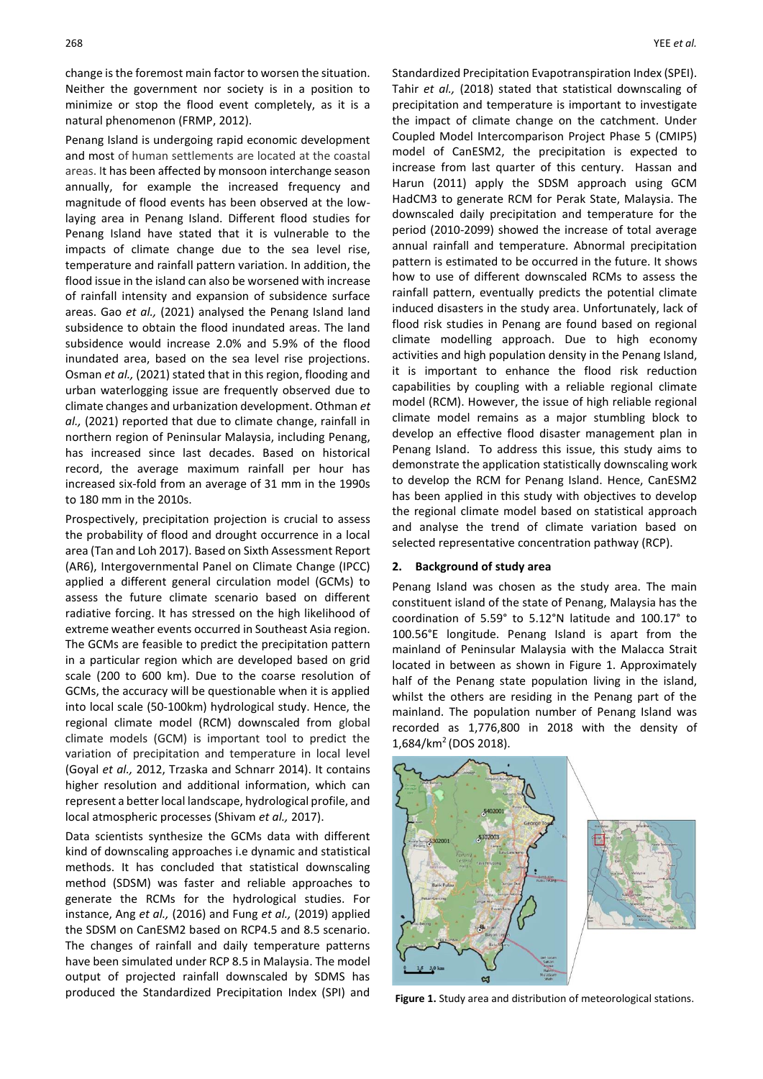change is the foremost main factor to worsen the situation. Neither the government nor society is in a position to minimize or stop the flood event completely, as it is a natural phenomenon (FRMP, 2012).

Penang Island is undergoing rapid economic development and most of human settlements are located at the coastal areas. It has been affected by monsoon interchange season annually, for example the increased frequency and magnitude of flood events has been observed at the lowlaying area in Penang Island. Different flood studies for Penang Island have stated that it is vulnerable to the impacts of climate change due to the sea level rise, temperature and rainfall pattern variation. In addition, the flood issue in the island can also be worsened with increase of rainfall intensity and expansion of subsidence surface areas. Gao *et al.,* (2021) analysed the Penang Island land subsidence to obtain the flood inundated areas. The land subsidence would increase 2.0% and 5.9% of the flood inundated area, based on the sea level rise projections. Osman *et al.,* (2021) stated that in this region, flooding and urban waterlogging issue are frequently observed due to climate changes and urbanization development. Othman *et al.,* (2021) reported that due to climate change, rainfall in northern region of Peninsular Malaysia, including Penang, has increased since last decades. Based on historical record, the average maximum rainfall per hour has increased six-fold from an average of 31 mm in the 1990s to 180 mm in the 2010s.

Prospectively, precipitation projection is crucial to assess the probability of flood and drought occurrence in a local area (Tan and Loh 2017). Based on Sixth Assessment Report (AR6), Intergovernmental Panel on Climate Change (IPCC) applied a different general circulation model (GCMs) to assess the future climate scenario based on different radiative forcing. It has stressed on the high likelihood of extreme weather events occurred in Southeast Asia region. The GCMs are feasible to predict the precipitation pattern in a particular region which are developed based on grid scale (200 to 600 km). Due to the coarse resolution of GCMs, the accuracy will be questionable when it is applied into local scale (50-100km) hydrological study. Hence, the regional climate model (RCM) downscaled from global climate models (GCM) is important tool to predict the variation of precipitation and temperature in local level (Goyal *et al.,* 2012, Trzaska and Schnarr 2014). It contains higher resolution and additional information, which can represent a better local landscape, hydrological profile, and local atmospheric processes (Shivam *et al.,* 2017).

Data scientists synthesize the GCMs data with different kind of downscaling approaches i.e dynamic and statistical methods. It has concluded that statistical downscaling method (SDSM) was faster and reliable approaches to generate the RCMs for the hydrological studies. For instance, Ang *et al.,* (2016) and Fung *et al.,* (2019) applied the SDSM on CanESM2 based on RCP4.5 and 8.5 scenario. The changes of rainfall and daily temperature patterns have been simulated under RCP 8.5 in Malaysia. The model output of projected rainfall downscaled by SDMS has produced the Standardized Precipitation Index (SPI) and

Standardized Precipitation Evapotranspiration Index (SPEI). Tahir *et al.,* (2018) stated that statistical downscaling of precipitation and temperature is important to investigate the impact of climate change on the catchment. Under Coupled Model Intercomparison Project Phase 5 (CMIP5) model of CanESM2, the precipitation is expected to increase from last quarter of this century. Hassan and Harun (2011) apply the SDSM approach using GCM HadCM3 to generate RCM for Perak State, Malaysia. The downscaled daily precipitation and temperature for the period (2010-2099) showed the increase of total average annual rainfall and temperature. Abnormal precipitation pattern is estimated to be occurred in the future. It shows how to use of different downscaled RCMs to assess the rainfall pattern, eventually predicts the potential climate induced disasters in the study area. Unfortunately, lack of flood risk studies in Penang are found based on regional climate modelling approach. Due to high economy activities and high population density in the Penang Island, it is important to enhance the flood risk reduction capabilities by coupling with a reliable regional climate model (RCM). However, the issue of high reliable regional climate model remains as a major stumbling block to develop an effective flood disaster management plan in Penang Island. To address this issue, this study aims to demonstrate the application statistically downscaling work to develop the RCM for Penang Island. Hence, CanESM2 has been applied in this study with objectives to develop the regional climate model based on statistical approach and analyse the trend of climate variation based on selected representative concentration pathway (RCP).

## **2. Background of study area**

Penang Island was chosen as the study area. The main constituent island of the state of Penang, Malaysia has the coordination of 5.59° to 5.12°N latitude and 100.17° to 100.56°E longitude. Penang Island is apart from the mainland of Peninsular Malaysia with the Malacca Strait located in between as shown in Figure 1. Approximately half of the Penang state population living in the island, whilst the others are residing in the Penang part of the mainland. The population number of Penang Island was recorded as 1,776,800 in 2018 with the density of 1,684/km<sup>2</sup>(DOS 2018).



**Figure 1.** Study area and distribution of meteorological stations.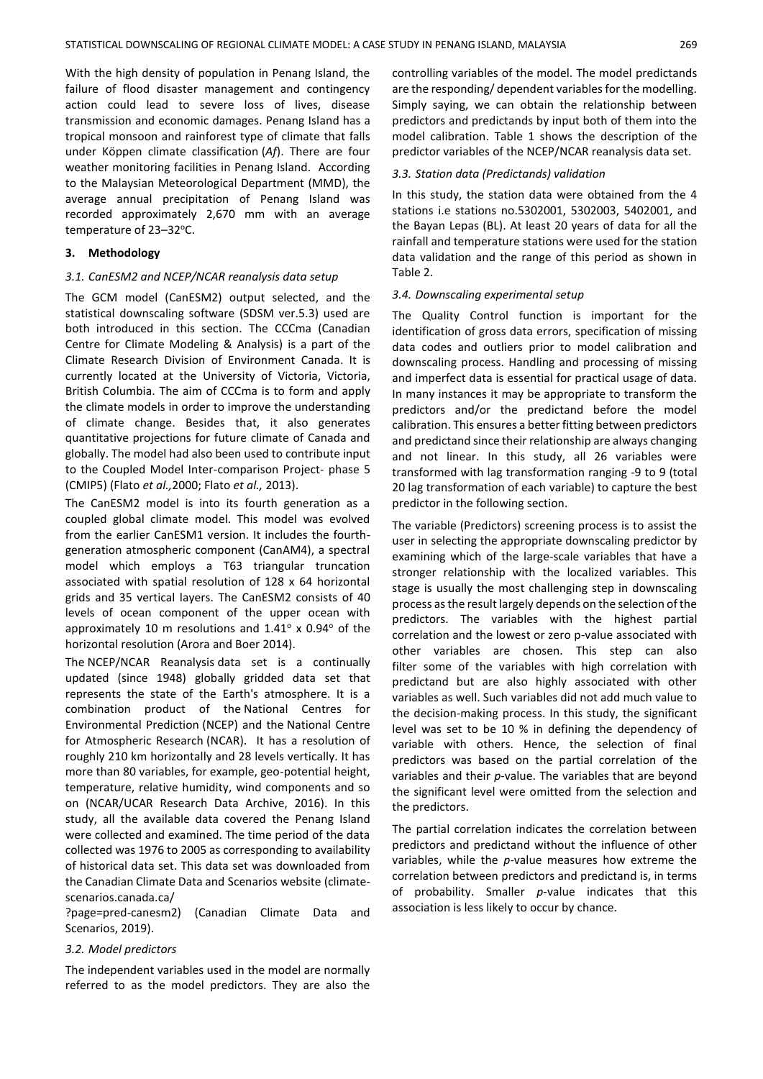With the high density of population in Penang Island, the failure of flood disaster management and contingency action could lead to severe loss of lives, disease transmission and economic damages. Penang Island has a tropical monsoon and [rainforest type of climate](https://en.wikipedia.org/wiki/Tropical_rainforest_climate) that falls under [Köppen climate classification](https://en.wikipedia.org/wiki/K%C3%B6ppen_climate_classification) (*Af*). There are four weather monitoring facilities in Penang Island. According to the Malaysian Meteorological Department (MMD), the average annual precipitation of Penang Island was recorded approximately 2,670 mm with an average temperature of 23-32°C.

#### **3. Methodology**

### *3.1. CanESM2 and NCEP/NCAR reanalysis data setup*

The GCM model (CanESM2) output selected, and the statistical downscaling software (SDSM ver.5.3) used are both introduced in this section. The CCCma (Canadian Centre for Climate Modeling & Analysis) is a part of the Climate Research Division of [Environment Canada.](https://en.wikipedia.org/wiki/Environment_Canada) It is currently located at the [University of Victoria,](https://en.wikipedia.org/wiki/University_of_Victoria) [Victoria,](https://en.wikipedia.org/wiki/Victoria,_British_Columbia)  [British Columbia.](https://en.wikipedia.org/wiki/Victoria,_British_Columbia) The aim of CCCma is to form and apply the [climate models](https://en.wikipedia.org/wiki/Climate_models) in order to improve the understanding of [climate change.](https://en.wikipedia.org/wiki/Climate_change) Besides that, it also generates quantitative projections for future climate of Canada and globally. The model had also been used to contribute input to the Coupled Model Inter-comparison Project- phase 5 (CMIP5) (Flato *et al.,*2000; Flato *et al.,* 2013).

The CanESM2 model is into its fourth generation as a coupled global climate model. This model was evolved from the earlier CanESM1 version. It includes the fourthgeneration atmospheric component (CanAM4), a spectral model which employs a T63 triangular truncation associated with spatial resolution of 128 x 64 horizontal grids and 35 vertical layers. The CanESM2 consists of 40 levels of ocean component of the upper ocean with approximately 10 m resolutions and  $1.41^\circ \times 0.94^\circ$  of the horizontal resolution (Arora and Boer 2014).

The NCEP/NCAR Reanalysis data set is a continually updated (since 1948) globally gridded data set that represents the state of the Earth's atmosphere. It is a combination product of the [National Centres for](https://en.wikipedia.org/wiki/National_Centers_for_Environmental_Prediction) [Environmental Prediction](https://en.wikipedia.org/wiki/National_Centers_for_Environmental_Prediction) (NCEP) and the [National Centre](https://en.wikipedia.org/wiki/National_Center_for_Atmospheric_Research)  [for Atmospheric Research](https://en.wikipedia.org/wiki/National_Center_for_Atmospheric_Research) (NCAR). It has a resolution of roughly 210 km horizontally and 28 levels vertically. It has more than 80 variables, for example, geo-potential height, temperature, relative humidity, wind components and so on (NCAR/UCAR Research Data Archive, 2016). In this study, all the available data covered the Penang Island were collected and examined. The time period of the data collected was 1976 to 2005 as corresponding to availability of historical data set. This data set was downloaded from the Canadian Climate Data and Scenarios website (climatescenarios.canada.ca/

?page=pred-canesm2) (Canadian Climate Data and Scenarios, 2019).

## *3.2. Model predictors*

The independent variables used in the model are normally referred to as the model predictors. They are also the controlling variables of the model. The model predictands are the responding/ dependent variables for the modelling. Simply saying, we can obtain the relationship between predictors and predictands by input both of them into the model calibration. Table 1 shows the description of the predictor variables of the NCEP/NCAR reanalysis data set.

## *3.3. Station data (Predictands) validation*

In this study, the station data were obtained from the 4 stations i.e stations no.5302001, 5302003, 5402001, and the Bayan Lepas (BL). At least 20 years of data for all the rainfall and temperature stations were used for the station data validation and the range of this period as shown in Table 2.

#### *3.4. Downscaling experimental setup*

The Quality Control function is important for the identification of gross data errors, specification of missing data codes and outliers prior to model calibration and downscaling process. Handling and processing of missing and imperfect data is essential for practical usage of data. In many instances it may be appropriate to transform the predictors and/or the predictand before the model calibration. This ensures a better fitting between predictors and predictand since their relationship are always changing and not linear. In this study, all 26 variables were transformed with lag transformation ranging -9 to 9 (total 20 lag transformation of each variable) to capture the best predictor in the following section.

The variable (Predictors) screening process is to assist the user in selecting the appropriate downscaling predictor by examining which of the large-scale variables that have a stronger relationship with the localized variables. This stage is usually the most challenging step in downscaling process as the result largely depends on the selection of the predictors. The variables with the highest partial correlation and the lowest or zero p-value associated with other variables are chosen. This step can also filter some of the variables with high correlation with predictand but are also highly associated with other variables as well. Such variables did not add much value to the decision-making process. In this study, the significant level was set to be 10 % in defining the dependency of variable with others. Hence, the selection of final predictors was based on the partial correlation of the variables and their *p*-value. The variables that are beyond the significant level were omitted from the selection and the predictors.

The partial correlation indicates the correlation between predictors and predictand without the influence of other variables, while the *p*-value measures how extreme the correlation between predictors and predictand is, in terms of probability. Smaller *p*-value indicates that this association is less likely to occur by chance.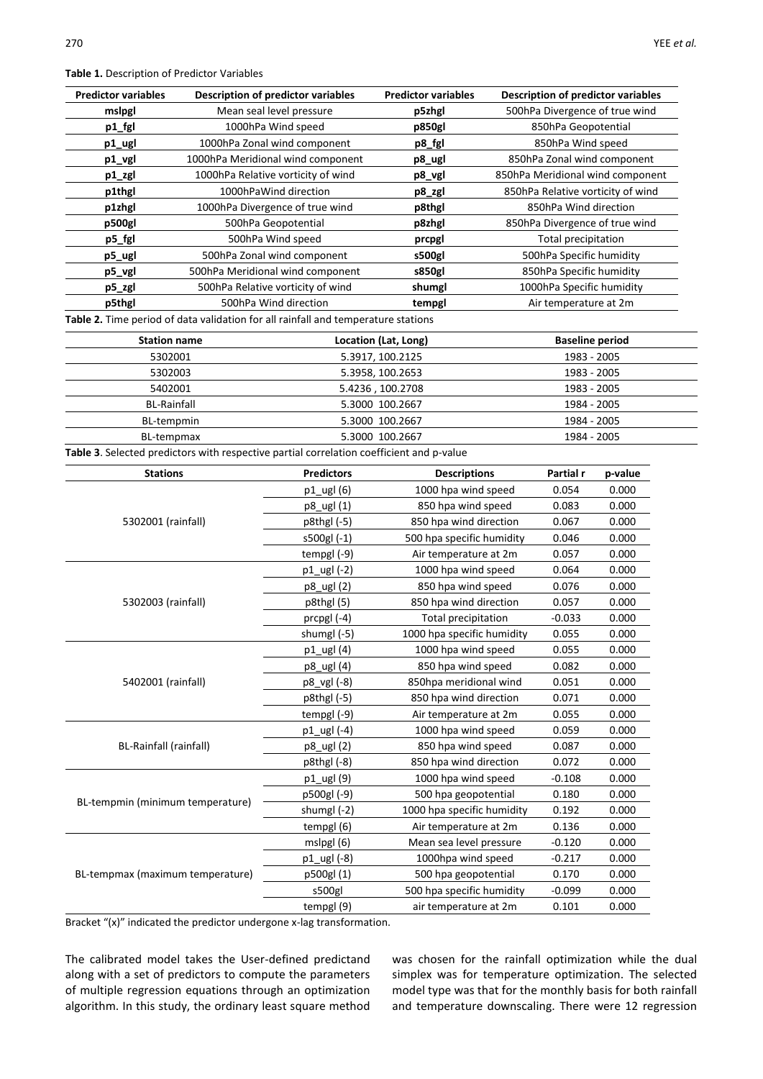**Table 1.** Description of Predictor Variables

| <b>Predictor variables</b> | <b>Description of predictor variables</b> | <b>Predictor variables</b> | <b>Description of predictor variables</b> |
|----------------------------|-------------------------------------------|----------------------------|-------------------------------------------|
| mslpgl                     | Mean seal level pressure                  | p5zhgl                     | 500hPa Divergence of true wind            |
| p1_fgl                     | 1000hPa Wind speed                        | p850gl                     | 850hPa Geopotential                       |
| p1_ugl                     | 1000hPa Zonal wind component              | p8_fgl                     | 850hPa Wind speed                         |
| p1_vgl                     | 1000hPa Meridional wind component         | p8_ugl                     | 850hPa Zonal wind component               |
| p1_zgl                     | 1000hPa Relative vorticity of wind        | p8_vgl                     | 850hPa Meridional wind component          |
| p1thgl                     | 1000hPaWind direction                     | p8_zgl                     | 850hPa Relative vorticity of wind         |
| p1zhgl                     | 1000hPa Divergence of true wind           | p8thgl                     | 850hPa Wind direction                     |
| p500gl                     | 500hPa Geopotential                       | p8zhgl                     | 850hPa Divergence of true wind            |
| p5_fgl                     | 500hPa Wind speed                         | prcpgl                     | Total precipitation                       |
| p5_ugl                     | 500hPa Zonal wind component               | s500gl                     | 500hPa Specific humidity                  |
| p5_vgl                     | 500hPa Meridional wind component          | s850gl                     | 850hPa Specific humidity                  |
| p5_zgl                     | 500hPa Relative vorticity of wind         | shumgl                     | 1000hPa Specific humidity                 |
| p5thgl                     | 500hPa Wind direction                     | tempgl                     | Air temperature at 2m                     |

| <b>Station name</b> | Location (Lat, Long) | <b>Baseline period</b> |
|---------------------|----------------------|------------------------|
| 5302001             | 5.3917, 100.2125     | 1983 - 2005            |
| 5302003             | 5.3958, 100.2653     | 1983 - 2005            |
| 5402001             | 5.4236, 100.2708     | 1983 - 2005            |
| <b>BL-Rainfall</b>  | 5.3000 100.2667      | 1984 - 2005            |
| BL-tempmin          | 5.3000 100.2667      | 1984 - 2005            |
| BL-tempmax          | 5.3000 100.2667      | 1984 - 2005            |
|                     |                      |                        |

**Table 3**. Selected predictors with respective partial correlation coefficient and p-value

| <b>Stations</b>                  | <b>Predictors</b> | <b>Descriptions</b>        | Partial r | p-value |
|----------------------------------|-------------------|----------------------------|-----------|---------|
|                                  | p1_ugl (6)        | 1000 hpa wind speed        | 0.054     | 0.000   |
|                                  | p8_ugl (1)        | 850 hpa wind speed         | 0.083     | 0.000   |
| 5302001 (rainfall)               | p8thgl (-5)       | 850 hpa wind direction     | 0.067     | 0.000   |
|                                  | s500gl (-1)       | 500 hpa specific humidity  | 0.046     | 0.000   |
|                                  | tempg $(-9)$      | Air temperature at 2m      | 0.057     | 0.000   |
|                                  | p1_ugl (-2)       | 1000 hpa wind speed        | 0.064     | 0.000   |
|                                  | p8_ugl (2)        | 850 hpa wind speed         | 0.076     | 0.000   |
| 5302003 (rainfall)               | p8thgl (5)        | 850 hpa wind direction     | 0.057     | 0.000   |
|                                  | prcpgl (-4)       | <b>Total precipitation</b> | $-0.033$  | 0.000   |
|                                  | shumgl (-5)       | 1000 hpa specific humidity | 0.055     | 0.000   |
|                                  | $p1$ _ugl $(4)$   | 1000 hpa wind speed        | 0.055     | 0.000   |
|                                  | p8_ugl (4)        | 850 hpa wind speed         | 0.082     | 0.000   |
| 5402001 (rainfall)               | p8_vgl (-8)       | 850hpa meridional wind     | 0.051     | 0.000   |
|                                  | p8thgl (-5)       | 850 hpa wind direction     | 0.071     | 0.000   |
|                                  | tempgl (-9)       | Air temperature at 2m      | 0.055     | 0.000   |
|                                  | p1_ugl (-4)       | 1000 hpa wind speed        | 0.059     | 0.000   |
| BL-Rainfall (rainfall)           | p8_ugl (2)        | 850 hpa wind speed         | 0.087     | 0.000   |
|                                  | p8thgl (-8)       | 850 hpa wind direction     | 0.072     | 0.000   |
|                                  | p1_ugl (9)        | 1000 hpa wind speed        | $-0.108$  | 0.000   |
|                                  | p500gl (-9)       | 500 hpa geopotential       | 0.180     | 0.000   |
| BL-tempmin (minimum temperature) | shumgl (-2)       | 1000 hpa specific humidity | 0.192     | 0.000   |
|                                  | tempgl (6)        | Air temperature at 2m      | 0.136     | 0.000   |
|                                  | mslpgl (6)        | Mean sea level pressure    | $-0.120$  | 0.000   |
|                                  | p1_ugl (-8)       | 1000hpa wind speed         | $-0.217$  | 0.000   |
| BL-tempmax (maximum temperature) | p500gl (1)        | 500 hpa geopotential       | 0.170     | 0.000   |
|                                  | s500gl            | 500 hpa specific humidity  | $-0.099$  | 0.000   |
|                                  | tempgl (9)        | air temperature at 2m      | 0.101     | 0.000   |

Bracket "(x)" indicated the predictor undergone x-lag transformation.

The calibrated model takes the User-defined predictand along with a set of predictors to compute the parameters of multiple regression equations through an optimization algorithm. In this study, the ordinary least square method

was chosen for the rainfall optimization while the dual simplex was for temperature optimization. The selected model type was that for the monthly basis for both rainfall and temperature downscaling. There were 12 regression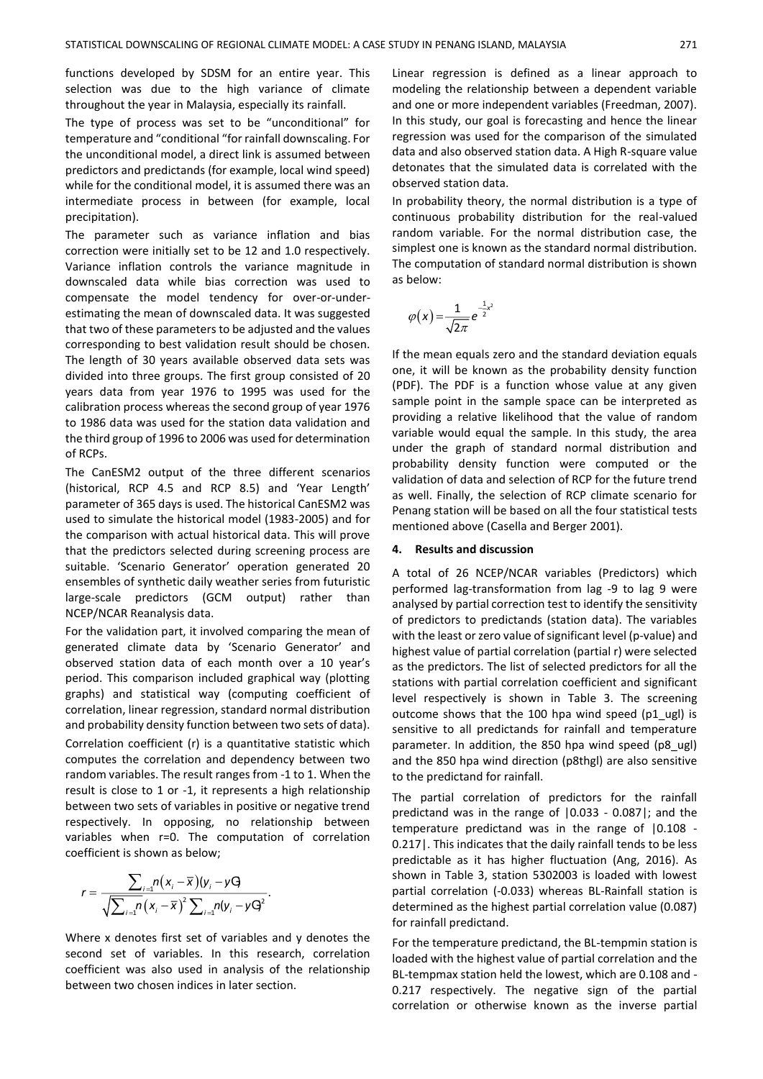functions developed by SDSM for an entire year. This selection was due to the high variance of climate throughout the year in Malaysia, especially its rainfall.

The type of process was set to be "unconditional" for temperature and "conditional "for rainfall downscaling. For the unconditional model, a direct link is assumed between predictors and predictands (for example, local wind speed) while for the conditional model, it is assumed there was an intermediate process in between (for example, local precipitation).

The parameter such as variance inflation and bias correction were initially set to be 12 and 1.0 respectively. Variance inflation controls the variance magnitude in downscaled data while bias correction was used to compensate the model tendency for over-or-underestimating the mean of downscaled data. It was suggested that two of these parameters to be adjusted and the values corresponding to best validation result should be chosen. The length of 30 years available observed data sets was divided into three groups. The first group consisted of 20 years data from year 1976 to 1995 was used for the calibration process whereas the second group of year 1976 to 1986 data was used for the station data validation and the third group of 1996 to 2006 was used for determination of RCPs.

The CanESM2 output of the three different scenarios (historical, RCP 4.5 and RCP 8.5) and 'Year Length' parameter of 365 days is used. The historical CanESM2 was used to simulate the historical model (1983-2005) and for the comparison with actual historical data. This will prove that the predictors selected during screening process are suitable. 'Scenario Generator' operation generated 20 ensembles of synthetic daily weather series from futuristic large-scale predictors (GCM output) rather than NCEP/NCAR Reanalysis data.

For the validation part, it involved comparing the mean of generated climate data by 'Scenario Generator' and observed station data of each month over a 10 year's period. This comparison included graphical way (plotting graphs) and statistical way (computing coefficient of correlation, linear regression, standard normal distribution and probability density function between two sets of data). Correlation coefficient (r) is a quantitative statistic which computes the correlation and dependency between two random variables. The result ranges from -1 to 1. When the result is close to 1 or -1, it represents a high relationship between two sets of variables in positive or negative trend respectively. In opposing, no relationship between variables when r=0. The computation of correlation coefficient is shown as below;

$$
r=\frac{\sum_{i=1}n(x_i-\overline{x})(y_i-yq)}{\sqrt{\sum_{i=1}n(x_i-\overline{x})^2\sum_{i=1}n(y_i-yq^2)}}.
$$

Where x denotes first set of variables and y denotes the second set of variables. In this research, correlation coefficient was also used in analysis of the relationship between two chosen indices in later section.

Linear regression is defined as a linear approach to modeling the relationship between a dependent variable and one or more independent variables (Freedman, 2007). In this study, our goal is forecasting and hence the linear regression was used for the comparison of the simulated data and also observed station data. A High R-square value detonates that the simulated data is correlated with the observed station data.

In probability theory, the normal distribution is a type of continuous probability distribution for the real-valued random variable. For the normal distribution case, the simplest one is known as the standard normal distribution. The computation of standard normal distribution is shown as below:

$$
\varphi(x) = \frac{1}{\sqrt{2\pi}}e^{-\frac{1}{2}x^2}
$$

If the mean equals zero and the standard deviation equals one, it will be known as the probability density function (PDF). The PDF is a function whose value at any given sample point in the sample space can be interpreted as providing a relative likelihood that the value of random variable would equal the sample. In this study, the area under the graph of standard normal distribution and probability density function were computed or the validation of data and selection of RCP for the future trend as well. Finally, the selection of RCP climate scenario for Penang station will be based on all the four statistical tests mentioned above (Casella and Berger 2001).

#### **4. Results and discussion**

A total of 26 NCEP/NCAR variables (Predictors) which performed lag-transformation from lag -9 to lag 9 were analysed by partial correction test to identify the sensitivity of predictors to predictands (station data). The variables with the least or zero value of significant level (p-value) and highest value of partial correlation (partial r) were selected as the predictors. The list of selected predictors for all the stations with partial correlation coefficient and significant level respectively is shown in Table 3. The screening outcome shows that the 100 hpa wind speed (p1\_ugl) is sensitive to all predictands for rainfall and temperature parameter. In addition, the 850 hpa wind speed (p8\_ugl) and the 850 hpa wind direction (p8thgl) are also sensitive to the predictand for rainfall.

The partial correlation of predictors for the rainfall predictand was in the range of |0.033 - 0.087|; and the temperature predictand was in the range of |0.108 - 0.217|. This indicates that the daily rainfall tends to be less predictable as it has higher fluctuation (Ang, 2016). As shown in Table 3, station 5302003 is loaded with lowest partial correlation (-0.033) whereas BL-Rainfall station is determined as the highest partial correlation value (0.087) for rainfall predictand.

For the temperature predictand, the BL-tempmin station is loaded with the highest value of partial correlation and the BL-tempmax station held the lowest, which are 0.108 and - 0.217 respectively. The negative sign of the partial correlation or otherwise known as the inverse partial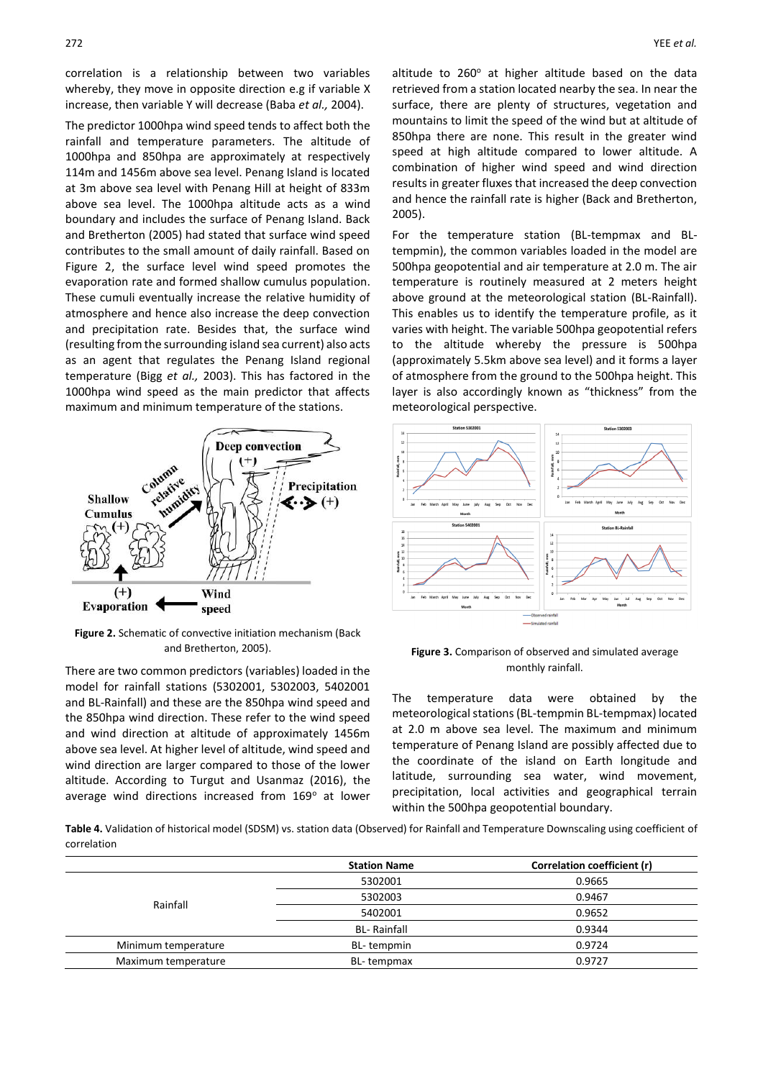correlation is a relationship between two variables whereby, they move in opposite direction e.g if variable X increase, then variable Y will decrease (Baba *et al.,* 2004).

The predictor 1000hpa wind speed tends to affect both the rainfall and temperature parameters. The altitude of 1000hpa and 850hpa are approximately at respectively 114m and 1456m above sea level. Penang Island is located at 3m above sea level with Penang Hill at height of 833m above sea level. The 1000hpa altitude acts as a wind boundary and includes the surface of Penang Island. Back and Bretherton (2005) had stated that surface wind speed contributes to the small amount of daily rainfall. Based on Figure 2, the surface level wind speed promotes the evaporation rate and formed shallow cumulus population. These cumuli eventually increase the relative humidity of atmosphere and hence also increase the deep convection and precipitation rate. Besides that, the surface wind (resulting from the surrounding island sea current) also acts as an agent that regulates the Penang Island regional temperature (Bigg *et al.,* 2003). This has factored in the 1000hpa wind speed as the main predictor that affects maximum and minimum temperature of the stations.



**Figure 2.** Schematic of convective initiation mechanism (Back and Bretherton, 2005).

There are two common predictors (variables) loaded in the model for rainfall stations (5302001, 5302003, 5402001 and BL-Rainfall) and these are the 850hpa wind speed and the 850hpa wind direction. These refer to the wind speed and wind direction at altitude of approximately 1456m above sea level. At higher level of altitude, wind speed and wind direction are larger compared to those of the lower altitude. According to Turgut and Usanmaz (2016), the average wind directions increased from 169° at lower altitude to  $260^\circ$  at higher altitude based on the data retrieved from a station located nearby the sea. In near the surface, there are plenty of structures, vegetation and mountains to limit the speed of the wind but at altitude of 850hpa there are none. This result in the greater wind speed at high altitude compared to lower altitude. A combination of higher wind speed and wind direction results in greater fluxes that increased the deep convection and hence the rainfall rate is higher (Back and Bretherton, 2005).

For the temperature station (BL-tempmax and BLtempmin), the common variables loaded in the model are 500hpa geopotential and air temperature at 2.0 m. The air temperature is routinely measured at 2 meters height above ground at the meteorological station (BL-Rainfall). This enables us to identify the temperature profile, as it varies with height. The variable 500hpa geopotential refers to the altitude whereby the pressure is 500hpa (approximately 5.5km above sea level) and it forms a layer of atmosphere from the ground to the 500hpa height. This layer is also accordingly known as "thickness" from the meteorological perspective.



## **Figure 3.** Comparison of observed and simulated average monthly rainfall.

The temperature data were obtained by the meteorological stations (BL-tempmin BL-tempmax) located at 2.0 m above sea level. The maximum and minimum temperature of Penang Island are possibly affected due to the coordinate of the island on Earth longitude and latitude, surrounding sea water, wind movement, precipitation, local activities and geographical terrain within the 500hpa geopotential boundary.

**Table 4.** Validation of historical model (SDSM) vs. station data (Observed) for Rainfall and Temperature Downscaling using coefficient of correlation

|                     | <b>Station Name</b> | Correlation coefficient (r) |
|---------------------|---------------------|-----------------------------|
|                     | 5302001             | 0.9665                      |
|                     | 5302003             | 0.9467                      |
| Rainfall            | 5402001             | 0.9652                      |
|                     | <b>BL- Rainfall</b> | 0.9344                      |
| Minimum temperature | BL-tempmin          | 0.9724                      |
| Maximum temperature | BL-tempmax          | 0.9727                      |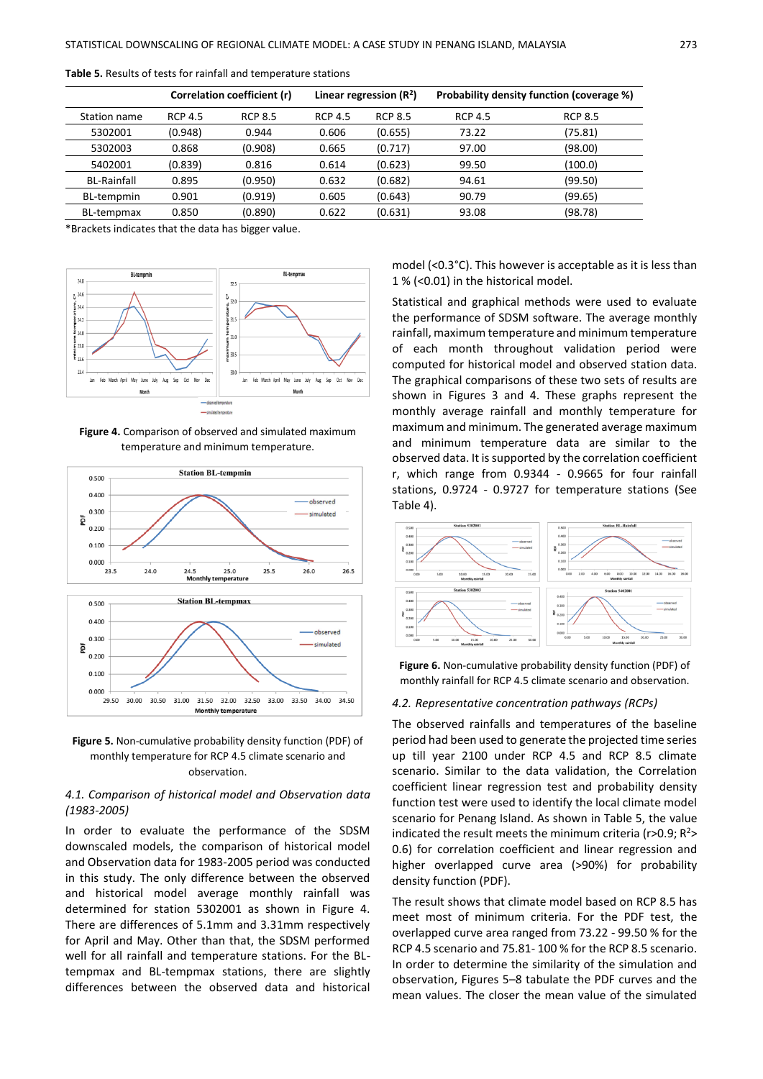|                    |                | Correlation coefficient (r) | Linear regression $(R2)$ |                | Probability density function (coverage %) |                |
|--------------------|----------------|-----------------------------|--------------------------|----------------|-------------------------------------------|----------------|
| Station name       | <b>RCP 4.5</b> | <b>RCP 8.5</b>              | <b>RCP 4.5</b>           | <b>RCP 8.5</b> | <b>RCP 4.5</b>                            | <b>RCP 8.5</b> |
| 5302001            | (0.948)        | 0.944                       | 0.606                    | (0.655)        | 73.22                                     | (75.81)        |
| 5302003            | 0.868          | (0.908)                     | 0.665                    | (0.717)        | 97.00                                     | (98.00)        |
| 5402001            | (0.839)        | 0.816                       | 0.614                    | (0.623)        | 99.50                                     | (100.0)        |
| <b>BL-Rainfall</b> | 0.895          | (0.950)                     | 0.632                    | (0.682)        | 94.61                                     | (99.50)        |
| BL-tempmin         | 0.901          | (0.919)                     | 0.605                    | (0.643)        | 90.79                                     | (99.65)        |
| <b>BL-tempmax</b>  | 0.850          | (0.890)                     | 0.622                    | (0.631)        | 93.08                                     | (98.78)        |

**Table 5.** Results of tests for rainfall and temperature stations

\*Brackets indicates that the data has bigger value.



**Figure 4.** Comparison of observed and simulated maximum temperature and minimum temperature.





# *4.1. Comparison of historical model and Observation data (1983-2005)*

In order to evaluate the performance of the SDSM downscaled models, the comparison of historical model and Observation data for 1983-2005 period was conducted in this study. The only difference between the observed and historical model average monthly rainfall was determined for station 5302001 as shown in Figure 4. There are differences of 5.1mm and 3.31mm respectively for April and May. Other than that, the SDSM performed well for all rainfall and temperature stations. For the BLtempmax and BL-tempmax stations, there are slightly differences between the observed data and historical

model (<0.3°C). This however is acceptable as it is less than 1 % (<0.01) in the historical model.

Statistical and graphical methods were used to evaluate the performance of SDSM software. The average monthly rainfall, maximum temperature and minimum temperature of each month throughout validation period were computed for historical model and observed station data. The graphical comparisons of these two sets of results are shown in Figures 3 and 4. These graphs represent the monthly average rainfall and monthly temperature for maximum and minimum. The generated average maximum and minimum temperature data are similar to the observed data. It is supported by the correlation coefficient r, which range from 0.9344 - 0.9665 for four rainfall stations, 0.9724 - 0.9727 for temperature stations (See Table 4).



**Figure 6.** Non-cumulative probability density function (PDF) of monthly rainfall for RCP 4.5 climate scenario and observation.

#### *4.2. Representative concentration pathways (RCPs)*

The observed rainfalls and temperatures of the baseline period had been used to generate the projected time series up till year 2100 under RCP 4.5 and RCP 8.5 climate scenario. Similar to the data validation, the Correlation coefficient linear regression test and probability density function test were used to identify the local climate model scenario for Penang Island. As shown in Table 5, the value indicated the result meets the minimum criteria ( $r > 0.9$ ;  $R^2$ 0.6) for correlation coefficient and linear regression and higher overlapped curve area (>90%) for probability density function (PDF).

The result shows that climate model based on RCP 8.5 has meet most of minimum criteria. For the PDF test, the overlapped curve area ranged from 73.22 - 99.50 % for the RCP 4.5 scenario and 75.81- 100 % for the RCP 8.5 scenario. In order to determine the similarity of the simulation and observation, Figures 5–8 tabulate the PDF curves and the mean values. The closer the mean value of the simulated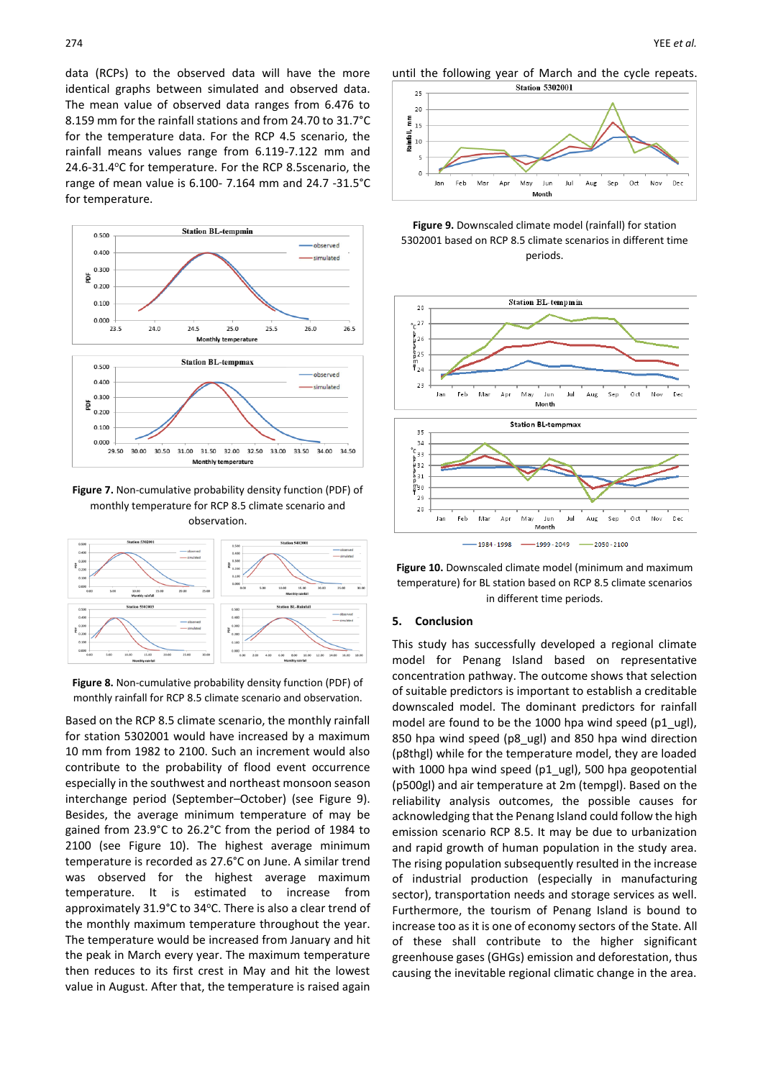data (RCPs) to the observed data will have the more identical graphs between simulated and observed data. The mean value of observed data ranges from 6.476 to 8.159 mm for the rainfall stations and from 24.70 to 31.7°C for the temperature data. For the RCP 4.5 scenario, the rainfall means values range from 6.119-7.122 mm and 24.6-31.4°C for temperature. For the RCP 8.5scenario, the range of mean value is 6.100- 7.164 mm and 24.7 -31.5°C for temperature.



**Figure 7.** Non-cumulative probability density function (PDF) of monthly temperature for RCP 8.5 climate scenario and observation.



**Figure 8.** Non-cumulative probability density function (PDF) of monthly rainfall for RCP 8.5 climate scenario and observation.

Based on the RCP 8.5 climate scenario, the monthly rainfall for station 5302001 would have increased by a maximum 10 mm from 1982 to 2100. Such an increment would also contribute to the probability of flood event occurrence especially in the southwest and northeast monsoon season interchange period (September–October) (see Figure 9). Besides, the average minimum temperature of may be gained from 23.9°C to 26.2°C from the period of 1984 to 2100 (see Figure 10). The highest average minimum temperature is recorded as 27.6°C on June. A similar trend was observed for the highest average maximum temperature. It is estimated to increase from approximately 31.9°C to 34°C. There is also a clear trend of the monthly maximum temperature throughout the year. The temperature would be increased from January and hit the peak in March every year. The maximum temperature then reduces to its first crest in May and hit the lowest value in August. After that, the temperature is raised again

until the following year of March and the cycle repeats.







**Figure 10.** Downscaled climate model (minimum and maximum temperature) for BL station based on RCP 8.5 climate scenarios in different time periods.

### **5. Conclusion**

This study has successfully developed a regional climate model for Penang Island based on representative concentration pathway. The outcome shows that selection of suitable predictors is important to establish a creditable downscaled model. The dominant predictors for rainfall model are found to be the 1000 hpa wind speed (p1\_ugl), 850 hpa wind speed (p8\_ugl) and 850 hpa wind direction (p8thgl) while for the temperature model, they are loaded with 1000 hpa wind speed (p1\_ugl), 500 hpa geopotential (p500gl) and air temperature at 2m (tempgl). Based on the reliability analysis outcomes, the possible causes for acknowledging that the Penang Island could follow the high emission scenario RCP 8.5. It may be due to urbanization and rapid growth of human population in the study area. The rising population subsequently resulted in the increase of industrial production (especially in manufacturing sector), transportation needs and storage services as well. Furthermore, the tourism of Penang Island is bound to increase too as it is one of economy sectors of the State. All of these shall contribute to the higher significant greenhouse gases (GHGs) emission and deforestation, thus causing the inevitable regional climatic change in the area.